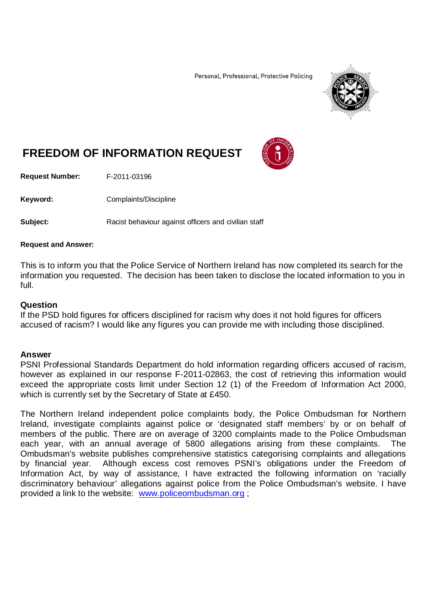Personal, Professional, Protective Policing



# **FREEDOM OF INFORMATION REQUEST**

**Request Number:** F-2011-03196

Keyword: Complaints/Discipline

**Subject:** Racist behaviour against officers and civilian staff

#### **Request and Answer:**

This is to inform you that the Police Service of Northern Ireland has now completed its search for the information you requested. The decision has been taken to disclose the located information to you in full.

#### **Question**

If the PSD hold figures for officers disciplined for racism why does it not hold figures for officers accused of racism? I would like any figures you can provide me with including those disciplined.

#### **Answer**

PSNI Professional Standards Department do hold information regarding officers accused of racism, however as explained in our response F-2011-02863, the cost of retrieving this information would exceed the appropriate costs limit under Section 12 (1) of the Freedom of Information Act 2000, which is currently set by the Secretary of State at £450.

The Northern Ireland independent police complaints body, the Police Ombudsman for Northern Ireland, investigate complaints against police or 'designated staff members' by or on behalf of members of the public. There are on average of 3200 complaints made to the Police Ombudsman each year, with an annual average of 5800 allegations arising from these complaints. The Ombudsman's website publishes comprehensive statistics categorising complaints and allegations by financial year. Although excess cost removes PSNI's obligations under the Freedom of Information Act, by way of assistance, I have extracted the following information on 'racially discriminatory behaviour' allegations against police from the Police Ombudsman's website. I have provided a link to the website: [www.policeombudsman.org](http://www.policeombudsman.org/) ;